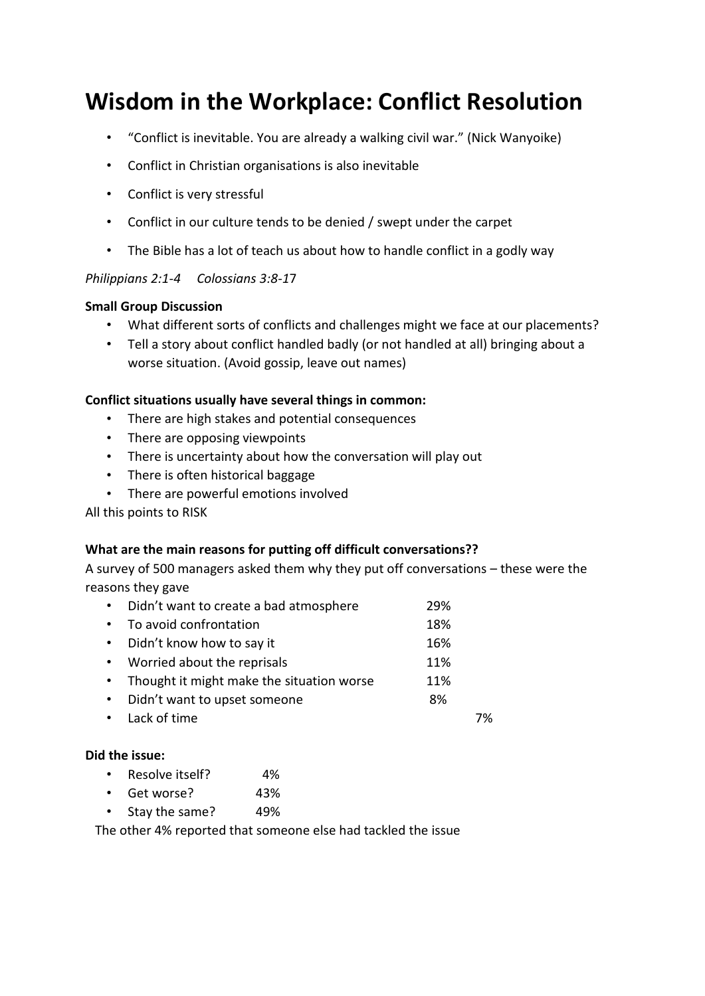# **Wisdom in the Workplace: Conflict Resolution**

- "Conflict is inevitable. You are already a walking civil war." (Nick Wanyoike)
- Conflict in Christian organisations is also inevitable
- Conflict is very stressful
- Conflict in our culture tends to be denied / swept under the carpet
- The Bible has a lot of teach us about how to handle conflict in a godly way

#### *Philippians 2:1-4 Colossians 3:8-1*7

#### **Small Group Discussion**

- What different sorts of conflicts and challenges might we face at our placements?
- Tell a story about conflict handled badly (or not handled at all) bringing about a worse situation. (Avoid gossip, leave out names)

#### **Conflict situations usually have several things in common:**

- There are high stakes and potential consequences
- There are opposing viewpoints
- There is uncertainty about how the conversation will play out
- There is often historical baggage
- There are powerful emotions involved

All this points to RISK

#### **What are the main reasons for putting off difficult conversations??**

A survey of 500 managers asked them why they put off conversations – these were the reasons they gave

| $\bullet$ | Didn't want to create a bad atmosphere    | 29% |    |
|-----------|-------------------------------------------|-----|----|
| $\bullet$ | To avoid confrontation                    | 18% |    |
| $\bullet$ | Didn't know how to say it                 | 16% |    |
| $\bullet$ | Worried about the reprisals               | 11% |    |
| $\bullet$ | Thought it might make the situation worse | 11% |    |
| $\bullet$ | Didn't want to upset someone              | 8%  |    |
|           | • Lack of time                            |     | 7% |

#### **Did the issue:**

- Resolve itself? 4%
- Get worse? 43%
- Stay the same? 49%

The other 4% reported that someone else had tackled the issue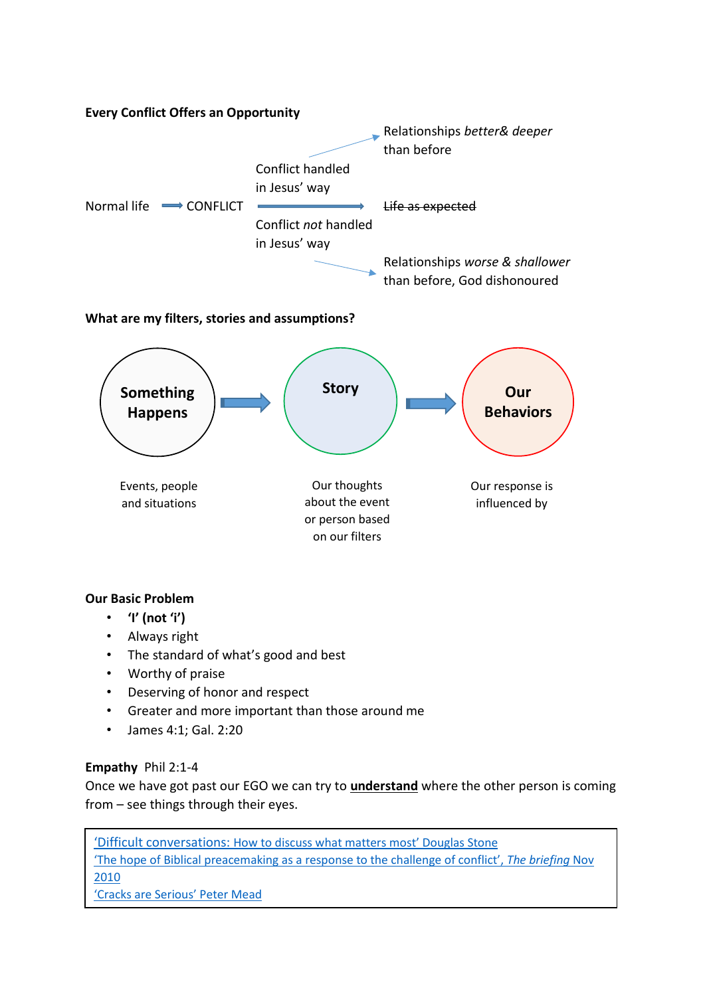

# **What are my filters, stories and assumptions?**



## **Our Basic Problem**

- **'I' (not 'i')**
- Always right
- The standard of what's good and best
- Worthy of praise
- Deserving of honor and respect
- Greater and more important than those around me
- James 4:1; Gal. 2:20

## **Empathy** Phil 2:1-4

Once we have got past our EGO we can try to **understand** where the other person is coming from – see things through their eyes.

'Difficult conversations: [How to discuss what matters most' Douglas Stone](https://hbr.org/2009/03/7-tips-for-difficult-conversat) ['The hope of Biblical preacemaking as a response to the challenge of conflict',](http://matthiasmedia.com/briefing/2010/11/the-hope-of-biblical-peacemaking-as-a-response-to-the-challenge-of-conflict/) *The briefing* Nov [2010](http://matthiasmedia.com/briefing/2010/11/the-hope-of-biblical-peacemaking-as-a-response-to-the-challenge-of-conflict/) ['Cracks are Serious' Peter Mead](https://biblicalpreaching.net/2015/10/01/cracks-are-serious/)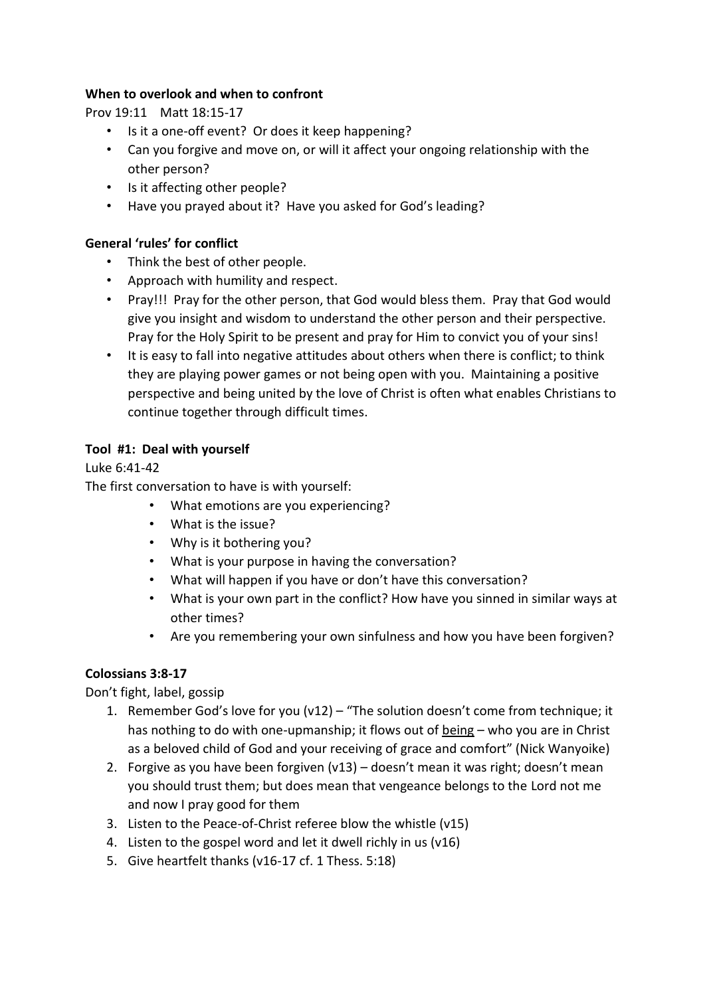## **When to overlook and when to confront**

Prov 19:11 Matt 18:15-17

- Is it a one-off event? Or does it keep happening?
- Can you forgive and move on, or will it affect your ongoing relationship with the other person?
- Is it affecting other people?
- Have you prayed about it? Have you asked for God's leading?

## **General 'rules' for conflict**

- Think the best of other people.
- Approach with humility and respect.
- Pray!!! Pray for the other person, that God would bless them. Pray that God would give you insight and wisdom to understand the other person and their perspective. Pray for the Holy Spirit to be present and pray for Him to convict you of your sins!
- It is easy to fall into negative attitudes about others when there is conflict; to think they are playing power games or not being open with you. Maintaining a positive perspective and being united by the love of Christ is often what enables Christians to continue together through difficult times.

#### **Tool #1: Deal with yourself**

Luke 6:41-42

The first conversation to have is with yourself:

- What emotions are you experiencing?
- What is the issue?
- Why is it bothering you?
- What is your purpose in having the conversation?
- What will happen if you have or don't have this conversation?
- What is your own part in the conflict? How have you sinned in similar ways at other times?
- Are you remembering your own sinfulness and how you have been forgiven?

## **Colossians 3:8-17**

Don't fight, label, gossip

- 1. Remember God's love for you  $(v12)$  "The solution doesn't come from technique; it has nothing to do with one-upmanship; it flows out of being - who you are in Christ as a beloved child of God and your receiving of grace and comfort" (Nick Wanyoike)
- 2. Forgive as you have been forgiven (v13) doesn't mean it was right; doesn't mean you should trust them; but does mean that vengeance belongs to the Lord not me and now I pray good for them
- 3. Listen to the Peace-of-Christ referee blow the whistle (v15)
- 4. Listen to the gospel word and let it dwell richly in us (v16)
- 5. Give heartfelt thanks (v16-17 cf. 1 Thess. 5:18)